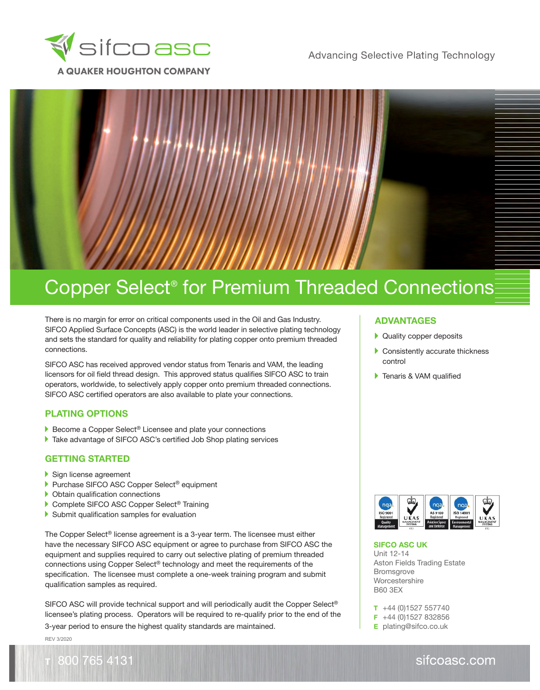



There is no margin for error on critical components used in the Oil and Gas Industry. SIFCO Applied Surface Concepts (ASC) is the world leader in selective plating technology and sets the standard for quality and reliability for plating copper onto premium threaded connections.

SIFCO ASC has received approved vendor status from Tenaris and VAM, the leading licensors for oil field thread design. This approved status qualifies SIFCO ASC to train operators, worldwide, to selectively apply copper onto premium threaded connections. SIFCO ASC certified operators are also available to plate your connections.

## **PLATING OPTIONS**

- ▶ Become a Copper Select® Licensee and plate your connections
- Take advantage of SIFCO ASC's certified Job Shop plating services

#### **GETTING STARTED**

- Sign license agreement
- ▶ Purchase SIFCO ASC Copper Select<sup>®</sup> equipment
- Obtain qualification connections
- ▶ Complete SIFCO ASC Copper Select<sup>®</sup> Training
- Submit qualification samples for evaluation

The Copper Select<sup>®</sup> license agreement is a 3-year term. The licensee must either have the necessary SIFCO ASC equipment or agree to purchase from SIFCO ASC the equipment and supplies required to carry out selective plating of premium threaded connections using Copper Select® technology and meet the requirements of the specification. The licensee must complete a one-week training program and submit qualification samples as required.

SIFCO ASC will provide technical support and will periodically audit the Copper Select® licensee's plating process. Operators will be required to re-qualify prior to the end of the 3-year period to ensure the highest quality standards are maintained.

REV 3/2020

800 765 4131

## **ADVANTAGES**

- ▶ Quality copper deposits
- Consistently accurate thickness control
- **Tenaris & VAM qualified**



**SIFCO ASC UK**  Unit 12-14 Aston Fields Trading Estate Bromsgrove Worcestershire B60 3EX

**T** +44 (0)1527 557740 **F** +44 (0)1527 832856

**E** plating@sifco.co.uk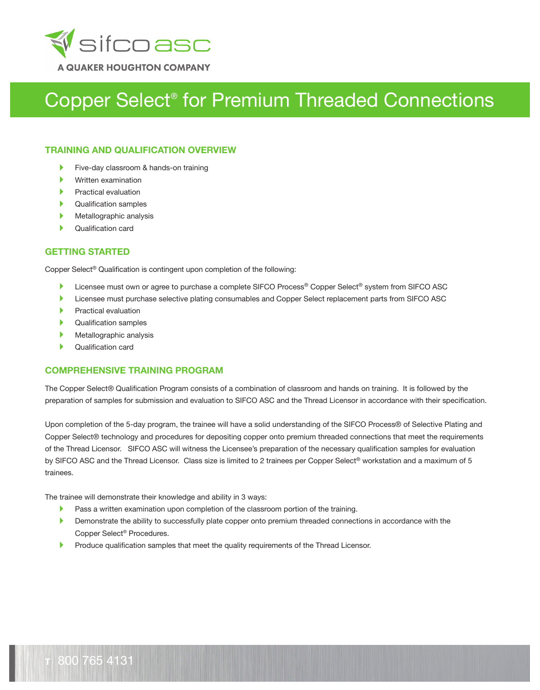

### **TRAINING AND QUALIFICATION OVERVIEW**

- Five-day classroom & hands-on training Þ
- Written examination
- Practical evaluation
- Qualification samples
- Metallographic analysis
- Qualification card

## **GETTING STARTED**

Copper Select® Qualification is contingent upon completion of the following:

- ь Licensee must own or agree to purchase a complete SIFCO Process® Copper Select® system from SIFCO ASC
- Licensee must purchase selective plating consumables and Copper Select replacement parts from SIFCO ASC ь
- Practical evaluation
- Qualification samples
- Metallographic analysis
- Qualification card

## **COMPREHENSIVE TRAINING PROGRAM**

The Copper Select® Qualification Program consists of a combination of classroom and hands on training. It is followed by the preparation of samples for submission and evaluation to SIFCO ASC and the Thread Licensor in accordance with their specification.

Upon completion of the 5-day program, the trainee will have a solid understanding of the SIFCO Process® of Selective Plating and Copper Select® technology and procedures for depositing copper onto premium threaded connections that meet the requirements of the Thread Licensor. SIFCO ASC will witness the Licensee's preparation of the necessary qualification samples for evaluation by SIFCO ASC and the Thread Licensor. Class size is limited to 2 trainees per Copper Select® workstation and a maximum of 5 trainees.

The trainee will demonstrate their knowledge and ability in 3 ways:

- $\blacktriangleright$ Pass a written examination upon completion of the classroom portion of the training.
- Ы Demonstrate the ability to successfully plate copper onto premium threaded connections in accordance with the Copper Select® Procedures.
- Produce qualification samples that meet the quality requirements of the Thread Licensor. ь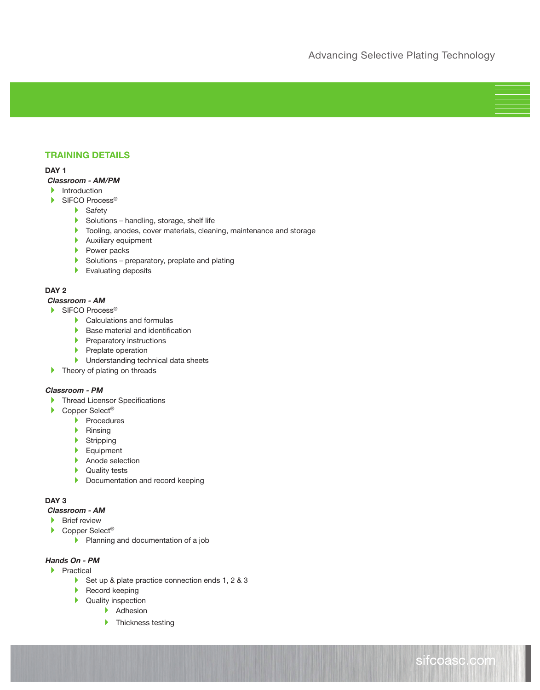## **TRAINING DETAILS**

#### **DAY 1**

#### **Classroom - AM/PM**

- $\blacktriangleright$  Introduction
- ▶ SIFCO Process<sup>®</sup>
	- Safety
	- $\triangleright$  Solutions handling, storage, shelf life
	- **Tooling, anodes, cover materials, cleaning, maintenance and storage**
	- Auxiliary equipment
	- Power packs
	- $\blacktriangleright$  Solutions preparatory, preplate and plating
	- Evaluating deposits

#### **DAY 2**

#### **Classroom - AM**

- ▶ SIFCO Process<sup>®</sup>
	- Calculations and formulas
	- $\blacktriangleright$  Base material and identification
	- $\blacktriangleright$  Preparatory instructions
	- $\blacktriangleright$  Preplate operation
	- **Inderstanding technical data sheets**
- **Theory of plating on threads**

#### **Classroom - PM**

- **Thread Licensor Specifications**
- ▶ Copper Select<sup>®</sup>
	- $\blacktriangleright$  Procedures
	- $\blacktriangleright$  Rinsing
	- **Stripping**
	- Equipment
	- Anode selection
	- **Quality tests**
	- Documentation and record keeping

## **DAY 3**

### **Classroom - AM**

- **Brief review**
- ▶ Copper Select<sup>®</sup>
	- Planning and documentation of a job

### **Hands On - PM**

- $\blacktriangleright$  Practical
	- Set up & plate practice connection ends 1, 2 & 3
	- Record keeping
	- **Quality inspection** 
		- Adhesion
		- **Thickness testing**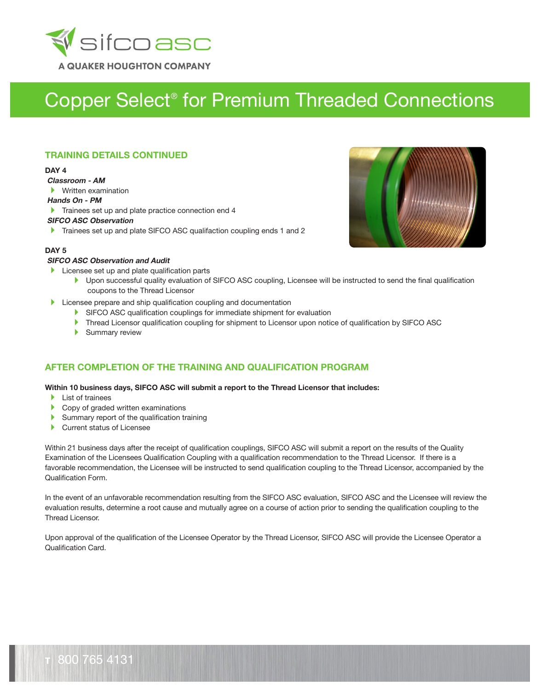

## **TRAINING DETAILS CONTINUED**

#### **DAY 4**

 **Classroom - AM**

Written examination

#### **Hands On - PM**

Trainees set up and plate practice connection end 4

#### **SIFCO ASC Observation**

Trainees set up and plate SIFCO ASC qualifaction coupling ends 1 and 2



#### **DAY 5**

#### **SIFCO ASC Observation and Audit**

- $\blacktriangleright$  Licensee set up and plate qualification parts
	- ▶ Upon successful quality evaluation of SIFCO ASC coupling, Licensee will be instructed to send the final qualification coupons to the Thread Licensor
- **Licensee prepare and ship qualification coupling and documentation** 
	- SIFCO ASC qualification couplings for immediate shipment for evaluation
	- Thread Licensor qualification coupling for shipment to Licensor upon notice of qualification by SIFCO ASC
	- Summary review

## **AFTER COMPLETION OF THE TRAINING AND QUALIFICATION PROGRAM**

#### **Within 10 business days, SIFCO ASC will submit a report to the Thread Licensor that includes:**

- **List of trainees**
- Copy of graded written examinations
- Summary report of the qualification training
- $\blacktriangleright$ Current status of Licensee

Within 21 business days after the receipt of qualification couplings, SIFCO ASC will submit a report on the results of the Quality Examination of the Licensees Qualification Coupling with a qualification recommendation to the Thread Licensor. If there is a favorable recommendation, the Licensee will be instructed to send qualification coupling to the Thread Licensor, accompanied by the Qualification Form.

In the event of an unfavorable recommendation resulting from the SIFCO ASC evaluation, SIFCO ASC and the Licensee will review the evaluation results, determine a root cause and mutually agree on a course of action prior to sending the qualification coupling to the Thread Licensor.

Upon approval of the qualification of the Licensee Operator by the Thread Licensor, SIFCO ASC will provide the Licensee Operator a Qualification Card.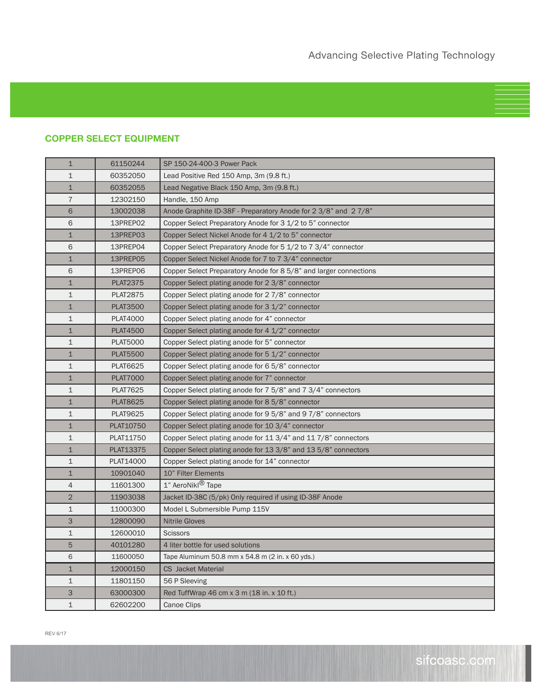# **COPPER SELECT EQUIPMENT**

| 1              | 61150244        | SP 150-24-400-3 Power Pack                                        |
|----------------|-----------------|-------------------------------------------------------------------|
| $\mathbf 1$    | 60352050        | Lead Positive Red 150 Amp, 3m (9.8 ft.)                           |
| $\mathbf 1$    | 60352055        | Lead Negative Black 150 Amp, 3m (9.8 ft.)                         |
| $\overline{7}$ | 12302150        | Handle, 150 Amp                                                   |
| 6              | 13002038        | Anode Graphite ID-38F - Preparatory Anode for 2 3/8" and 2 7/8"   |
| 6              | 13PREP02        | Copper Select Preparatory Anode for 3 1/2 to 5" connector         |
| $\mathbf 1$    | 13PREP03        | Copper Select Nickel Anode for 4 1/2 to 5" connector              |
| 6              | 13PREP04        | Copper Select Preparatory Anode for 5 1/2 to 7 3/4" connector     |
| $\mathbf 1$    | 13PREP05        | Copper Select Nickel Anode for 7 to 7 3/4" connector              |
| 6              | 13PREP06        | Copper Select Preparatory Anode for 8 5/8" and larger connections |
| $\mathbf 1$    | <b>PLAT2375</b> | Copper Select plating anode for 2 3/8" connector                  |
| $\mathbf 1$    | <b>PLAT2875</b> | Copper Select plating anode for 2 7/8" connector                  |
| $\mathbf 1$    | <b>PLAT3500</b> | Copper Select plating anode for 3 1/2" connector                  |
| $\mathbf 1$    | <b>PLAT4000</b> | Copper Select plating anode for 4" connector                      |
| $\mathbf 1$    | <b>PLAT4500</b> | Copper Select plating anode for 4 1/2" connector                  |
| $\mathbf 1$    | <b>PLAT5000</b> | Copper Select plating anode for 5" connector                      |
| $\mathbf 1$    | <b>PLAT5500</b> | Copper Select plating anode for 5 1/2" connector                  |
| 1              | <b>PLAT6625</b> | Copper Select plating anode for 6 5/8" connector                  |
| $\mathbf 1$    | <b>PLAT7000</b> | Copper Select plating anode for 7" connector                      |
| 1              | <b>PLAT7625</b> | Copper Select plating anode for 7 5/8" and 7 3/4" connectors      |
| $\mathbf 1$    | <b>PLAT8625</b> | Copper Select plating anode for 8 5/8" connector                  |
| 1              | <b>PLAT9625</b> | Copper Select plating anode for 9 5/8" and 9 7/8" connectors      |
| $\mathbf 1$    | PLAT10750       | Copper Select plating anode for 10 3/4" connector                 |
| $\mathbf 1$    | PLAT11750       | Copper Select plating anode for 11 3/4" and 11 7/8" connectors    |
| $\mathbf 1$    | PLAT13375       | Copper Select plating anode for 13 3/8" and 13 5/8" connectors    |
| $\mathbf 1$    | PLAT14000       | Copper Select plating anode for 14" connector                     |
| $\mathbf 1$    | 10901040        | 10" Filter Elements                                               |
| $\overline{4}$ | 11601300        | 1" AeroNikl <sup>®</sup> Tape                                     |
| $\overline{2}$ | 11903038        | Jacket ID-38C (5/pk) Only required if using ID-38F Anode          |
| $\mathbf 1$    | 11000300        | Model L Submersible Pump 115V                                     |
| 3              | 12800090        | <b>Nitrile Gloves</b>                                             |
| $\mathbf 1$    | 12600010        | Scissors                                                          |
| 5              | 40101280        | 4 liter bottle for used solutions                                 |
| 6              | 11600050        | Tape Aluminum 50.8 mm x 54.8 m (2 in. x 60 yds.)                  |
| $\mathbf 1$    | 12000150        | <b>CS</b> Jacket Material                                         |
| 1              | 11801150        | 56 P Sleeving                                                     |
| 3              | 63000300        | Red TuffWrap 46 cm x 3 m (18 in. x 10 ft.)                        |
| 1              | 62602200        | Canoe Clips                                                       |